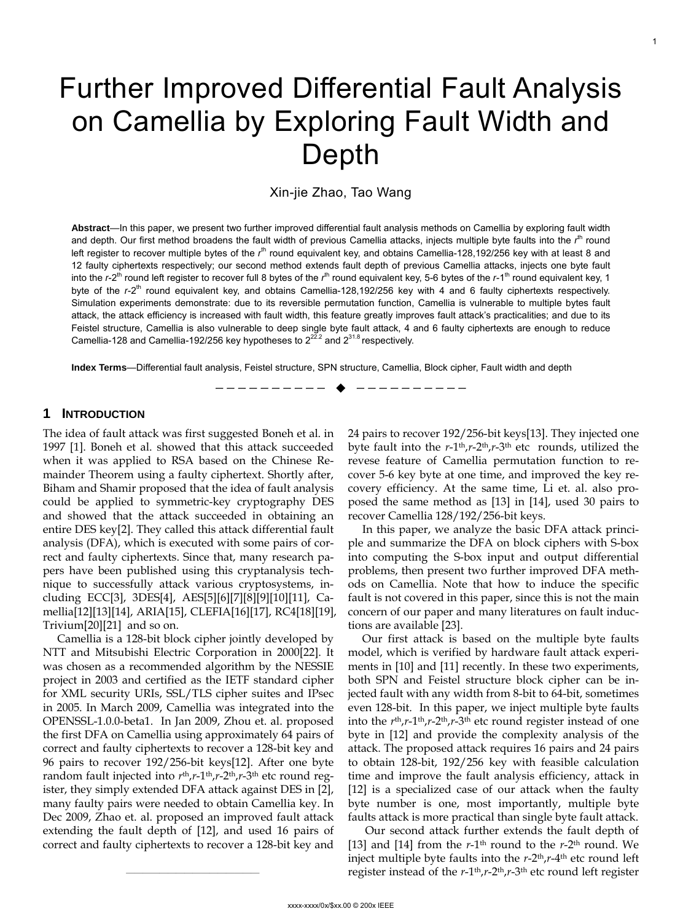# Further Improved Differential Fault Analysis on Camellia by Exploring Fault Width and Depth

Xin-jie Zhao, Tao Wang

**Abstract**—In this paper, we present two further improved differential fault analysis methods on Camellia by exploring fault width and depth. Our first method broadens the fault width of previous Camellia attacks, injects multiple byte faults into the *r*<sup>in</sup> round left register to recover multiple bytes of the r<sup>th</sup> round equivalent key, and obtains Camellia-128,192/256 key with at least 8 and 12 faulty ciphertexts respectively; our second method extends fault depth of previous Camellia attacks, injects one byte fault into the r-2<sup>th</sup> round left register to recover full 8 bytes of the r<sup>th</sup> round equivalent key, 5-6 bytes of the r-1<sup>th</sup> round equivalent key, 1 byte of the r-2<sup>th</sup> round equivalent key, and obtains Camellia-128,192/256 key with 4 and 6 faulty ciphertexts respectively. Simulation experiments demonstrate: due to its reversible permutation function, Camellia is vulnerable to multiple bytes fault attack, the attack efficiency is increased with fault width, this feature greatly improves fault attack's practicalities; and due to its Feistel structure, Camellia is also vulnerable to deep single byte fault attack, 4 and 6 faulty ciphertexts are enough to reduce Camellia-128 and Camellia-192/256 key hypotheses to  $2^{22.2}$  and  $2^{31.8}$  respectively.

**Index Terms**—Differential fault analysis, Feistel structure, SPN structure, Camellia, Block cipher, Fault width and depth

—————————— ——————————

# **1 INTRODUCTION**

The idea of fault attack was first suggested Boneh et al. in 1997 [\[1\].](#page-7-0) Boneh et al. showed that this attack succeeded when it was applied to RSA based on the Chinese Remainder Theorem using a faulty ciphertext. Shortly after, Biham and Shamir proposed that the idea of fault analysis could be applied to symmetric-key cryptography DES and showed that the attack succeeded in obtaining an entire DES key[\[2\].](#page-7-1) They called this attack differential fault analysis (DFA), which is executed with some pairs of correct and faulty ciphertexts. Since that, many research papers have been published using this cryptanalysis technique to successfully attack various cryptosystems, including ECC[\[3\],](#page-7-2) 3DE[S\[4\]](#page-7-3), AE[S\[5\]](#page-7-4)[\[6\]](#page-7-5)[\[7\]](#page-7-6)[\[8\]](#page-7-7)[\[9\]](#page-7-8)[\[10\]](#page-7-9)[\[11\]](#page-7-10), Camellia[\[12\]](#page-7-11)[\[13\]](#page-7-12)[\[14\]](#page-7-13), ARIA[\[15\],](#page-7-14) CLEFI[A\[16\]](#page-7-15)[\[17\],](#page-7-1) RC4[\[18\]](#page-7-2)[\[19\]](#page-7-16), Triviu[m\[20\]](#page-7-4)[\[21\]](#page-7-5) and so on.

Camellia is a 128-bit block cipher jointly developed by NTT and Mitsubishi Electric Corporation in 2000[\[22\].](#page-7-17) It was chosen as a recommended algorithm by the NESSIE project in 2003 and certified as the IETF standard cipher for XML security URIs, SSL/TLS cipher suites and IPsec in 2005. In March 2009, Camellia was integrated into the OPENSSL-1.0.0-beta1. In Jan 2009, Zhou et. al. proposed the first DFA on Camellia using approximately 64 pairs of correct and faulty ciphertexts to recover a 128-bit key and 96 pairs to recover 192/256-bit key[s\[12\]](#page-7-11). After one byte random fault injected into *r*th,*r*-1th,*r*-2th,*r*-3th etc round register, they simply extended DFA attack against DES in [\[2\]](#page-7-1), many faulty pairs were needed to obtain Camellia key. In Dec 2009, Zhao et. al. proposed an improved fault attack extending the fault depth of [\[12\]](#page-7-11), and used 16 pairs of correct and faulty ciphertexts to recover a 128-bit key and

24 pairs to recover 192/256-bit key[s\[13\]](#page-7-12). They injected one byte fault into the *r*-1th,*r*-2th,*r*-3th etc rounds, utilized the revese feature of Camellia permutation function to recover 5-6 key byte at one time, and improved the key recovery efficiency. At the same time, Li et. al. also proposed the same method as [\[13\]](#page-7-12) in [\[14\]](#page-7-13), used 30 pairs to recover Camellia 128/192/256-bit keys.

In this paper, we analyze the basic DFA attack principle and summarize the DFA on block ciphers with S-box into computing the S-box input and output differential problems, then present two further improved DFA methods on Camellia. Note that how to induce the specific fault is not covered in this paper, since this is not the main concern of our paper and many literatures on fault inductions are available [\[23\].](#page-7-18)

Our first attack is based on the multiple byte faults model, which is verified by hardware fault attack experiments in [\[10\]](#page-7-9) and [\[11\]](#page-7-10) recently. In these two experiments, both SPN and Feistel structure block cipher can be injected fault with any width from 8-bit to 64-bit, sometimes even 128-bit. In this paper, we inject multiple byte faults into the  $r<sup>th</sup>, r-1<sup>th</sup>, r-2<sup>th</sup>, r-3<sup>th</sup>$  etc round register instead of one byte in [\[12\]](#page-7-11) and provide the complexity analysis of the attack. The proposed attack requires 16 pairs and 24 pairs to obtain 128-bit, 192/256 key with feasible calculation time and improve the fault analysis efficiency, attack in [\[12\]](#page-7-11) is a specialized case of our attack when the faulty byte number is one, most importantly, multiple byte faults attack is more practical than single byte fault attack.

 Our second attack further extends the fault depth of [\[13\]](#page-7-12) and [\[14\]](#page-7-13) from the  $r$ -1<sup>th</sup> round to the  $r$ -2<sup>th</sup> round. We inject multiple byte faults into the *r*-2th,*r*-4th etc round left register instead of the  $r$ -1<sup>th</sup>, $r$ -2<sup>th</sup>, $r$ -3<sup>th</sup> etc round left register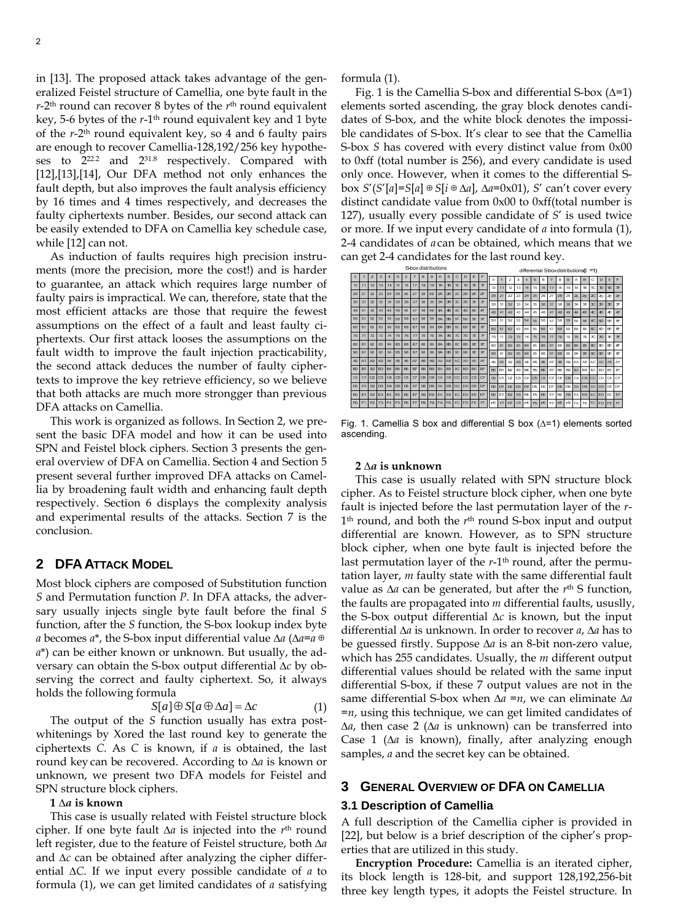in [\[13\].](#page-7-12) The proposed attack takes advantage of the generalized Feistel structure of Camellia, one byte fault in the *r*-2th round can recover 8 bytes of the *r*th round equivalent key, 5-6 bytes of the *r*-1th round equivalent key and 1 byte of the *r*-2th round equivalent key, so 4 and 6 faulty pairs are enough to recover Camellia-128,192/256 key hypotheses to 222.2 and 231.8 respectively. Compared with [\[12\]](#page-7-11)[,\[13\]](#page-7-12),[\[14\]](#page-7-13), Our DFA method not only enhances the fault depth, but also improves the fault analysis efficiency by 16 times and 4 times respectively, and decreases the faulty ciphertexts number. Besides, our second attack can be easily extended to DFA on Camellia key schedule case, while [\[12\]](#page-7-11) can not.

As induction of faults requires high precision instruments (more the precision, more the cost!) and is harder to guarantee, an attack which requires large number of faulty pairs is impractical. We can, therefore, state that the most efficient attacks are those that require the fewest assumptions on the effect of a fault and least faulty ciphertexts. Our first attack looses the assumptions on the fault width to improve the fault injection practicability, the second attack deduces the number of faulty ciphertexts to improve the key retrieve efficiency, so we believe that both attacks are much more strongger than previous DFA attacks on Camellia.

This work is organized as follows. In Section 2, we present the basic DFA model and how it can be used into SPN and Feistel block ciphers. Section 3 presents the general overview of DFA on Camellia. Section 4 and Section 5 present several further improved DFA attacks on Camellia by broadening fault width and enhancing fault depth respectively. Section 6 displays the complexity analysis and experimental results of the attacks. Section 7 is the conclusion.

## **2 DFA ATTACK MODEL**

Most block ciphers are composed of Substitution function *S* and Permutation function *P*. In DFA attacks, the adversary usually injects single byte fault before the final *S* function, after the *S* function, the S-box lookup index byte *a* becomes *a*\*, the S-box input differential value ∆*a* (∆*a*=*a*⊕ *a*\*) can be either known or unknown. But usually, the adversary can obtain the S-box output differential ∆*c* by observing the correct and faulty ciphertext. So, it always holds the following formula

$$
S[a] \oplus S[a \oplus \Delta a] = \Delta c \tag{1}
$$

The output of the *S* function usually has extra postwhitenings by Xored the last round key to generate the ciphertexts *C*. As *C* is known, if *a* is obtained, the last round key can be recovered. According to ∆*a* is known or unknown, we present two DFA models for Feistel and SPN structure block ciphers.

#### **1 ∆***a* **is known**

This case is usually related with Feistel structure block cipher. If one byte fault ∆*a* is injected into the *r*th round left register, due to the feature of Feistel structure, both ∆*a* and ∆*c* can be obtained after analyzing the cipher differential ∆*C*. If we input every possible candidate of *a* to formula (1), we can get limited candidates of *a* satisfying formula (1).

Fig. 1 is the Camellia S-box and differential S-box (∆=1) elements sorted ascending, the gray block denotes candidates of S-box, and the white block denotes the impossible candidates of S-box. It's clear to see that the Camellia S-box *S* has covered with every distinct value from 0x00 to 0xff (total number is 256), and every candidate is used only once. However, when it comes to the differential Sbox *S*'(*S*'[*a*]=*S*[*a*]⊕*S*[*i*⊕∆*a*], ∆*a*=0x01), *S*' can't cover every distinct candidate value from 0x00 to 0xff(total number is 127), usually every possible candidate of *S*' is used twice or more. If we input every candidate of *a* into formula (1), 2-4 candidates of *a* can be obtained, which means that we can get 2-4 candidates for the last round key.

| S-box distributions |           |                |    |                |                 |                |                |              |                |           |                 | differential S-box distributions(I<br>=1) |                |          |    |                |                |    |     |                |                 |           |           |                |                 |                 |                  |              |           |           |           |
|---------------------|-----------|----------------|----|----------------|-----------------|----------------|----------------|--------------|----------------|-----------|-----------------|-------------------------------------------|----------------|----------|----|----------------|----------------|----|-----|----------------|-----------------|-----------|-----------|----------------|-----------------|-----------------|------------------|--------------|-----------|-----------|-----------|
| $\Omega$            |           | $\overline{2}$ | a, |                | $5\overline{5}$ | 6              | $\overline{ }$ | $\mathbf{a}$ | $\Omega$       | A         | B               | C                                         | D.             | E        | F  | $\Omega$       |                | 2  | з   | 4              | 5               | 6         | 7         | 8              | $\Omega$        | A               | B                | c            | D.        | E         | F         |
| 10                  | 11        | 12             | 13 | 14             | 15              | 16             | 17             | 18           | 19             | 14        | <b>1B</b>       | $\mathbf{r}$                              | 1D             | 1F       | 1F | 10             | 11             | 12 | 13  | 14             | 15              | 16        | 17        | 18             | 19              | 1A              | 1B               | 1C           | 1D        | 1E        | 1F        |
| 20                  | 21        | $\mathfrak{D}$ | 23 | 24             | 25              | 26             | 27             | 28           | 29             | 24        | 28              | $\infty$                                  | 2D             | Æ        | Æ  | 20             | 21             | 22 | 23  | 24             | 25              | 26        | 27        | 28             | 29              | 2A              | 28               | 2C           | 20        | Æ         | Æ         |
| 30                  | 31        | 32             | 33 | 34             | 35              | 36             | 37             | 38           | 39             | 34        | 3B              | $_{\rm 3C}$                               | 3 <sub>D</sub> | 3E       | Œ  | 30             | 31             | 32 | 33  | 34             | 35              | 36        | 37        | 38             | 39              | 34              | 3 <sub>R</sub>   | 3C           | 3n        | 3F        | 38        |
| 40                  | 41        | 42             | 43 | 44             | 45              | 46             | 47             | 48           | 49             | 4A        | 4B              | Æ.                                        | 4D             | 4F       | Æ  | 40             | 41             | 42 | 43  | AA             | 45              | 46        | 47        | 48             | 49              | $\Delta \Delta$ | AB               | 4C           | 4D        | Æ         | Æ         |
| 50                  | 51        | 52             | 53 | 54             | 55              | 56             | 57             | 58           | 59             | <b>5A</b> | 5B              | 50                                        | 50             | 牙        | 圧  | 50             | 51             | 52 | 53. | 54             | 55              | 56        | 57        | 58             | 59              | 5A              | 5B               | 50           | 50        | <b>FE</b> | 乐         |
| 60                  | 61        | 62             | 63 | 64             | 65              | 66             | 67             | 68           | 69             | 6A        | 6B              | ec                                        | 60             | Œ        | Œ  | 60             | 61             | 62 | 63  | 64             | 65              | 66        | 67        | 68             | 69              | 64              | 6B               | BC           | 60        | Œ         | 6F        |
| $\overline{m}$      | 71        | 72             | 73 | 74             | 75              | 76             | 77             | 78           | 79             | 7A        | 7B              | $\pi$                                     | TD             | Æ        | 正  | 70             | 71             | 72 | 73  | 74             | 75              | 76        | 77        | 78             | 79              | <b>7A</b>       | <b>7B</b>        | $\pi$        | 7D        | Æ         | $\pi$     |
| 80                  | 81        | 82             | 83 | 84             | 85              | 86             | 87             | 88           | 89             | <b>8A</b> | 8B              | 8C                                        | 8D             | Œ        | 8F | 80             | 81             | 82 | 83  | 84             | 85              | 86        | 87        | 88             | 89              | 8 <sub>0</sub>  | 8 <sub>R</sub>   | $2^\circ$    | 8n        | a         | æ         |
| 80                  | 91        | 92             | 93 | 94             | 95              | 96             | 97             | 98           | 99             | 94        | SB <sub>3</sub> | <sub>sc</sub>                             | so l           | <b>F</b> | Æ  | 90             | 91             | 92 | 93  | 94             | 95              | 96        | 97        | 98             | 99              | 9A              | 98               | 90           | 90        | SE.       | <b>SF</b> |
| A <sub>0</sub>      | A1        | A <sub>2</sub> | A3 | $\mathbf{A}$   | A5              | A6             | AZ             | A8           | AG             | AA        | AB              | AC.                                       | AD I           | AE I     | AF | A0             | A1             | A2 | A3  | A4             | A5              | A6        | A7        | A8             | AR              | AA.             | AB               | AC.          | AD.       | AE.       | AF        |
| BO <sub>1</sub>     | <b>B1</b> | B <sub>2</sub> | B3 | B <sub>4</sub> | E5              | B <sub>6</sub> | EZ             | <b>BR</b>    | <b>B</b>       | <b>BA</b> | BB              | BC                                        | BD             | BE       | BE | B <sub>0</sub> | B <sub>1</sub> | B2 | E3  | B <sub>4</sub> | BS              | <b>B6</b> | <b>B7</b> | ES.            | <b>B9</b>       | <b>BA</b>       | BB               | BC.          | <b>BD</b> | BE.       | BF        |
| $\infty$            | C1        | C2             | C3 | C4             | $\mathbb{C}5$   | C <sub>6</sub> | C7             | C.8          | C9             | CA.       | CB              | cc                                        | l co l         | CE I     | CF | $\infty$       | C1             | œ  | C3  | C4             | CS <sub>1</sub> | OS.       | CZ        | C8             | CS <sub>1</sub> | CA              | CB               | CC.          | CD.       | CE.       | CE        |
| DO.                 | D1        | D <sub>2</sub> | D3 | D <sub>4</sub> | DS              | D6             | D7             | $DS$ $109$   |                | DA I      | DB.             | DC.                                       | DD I           | DE I     | DF | DO.            | D <sub>1</sub> | D2 | D3  | D <sub>4</sub> |                 | DS DS     | D7        | D <sub>8</sub> |                 | D9 DA           |                  | <b>DB</b> DC | <b>DD</b> | ne l      | DF        |
| EO                  | F1        | E2             | E3 | E4             | E5              | F6             | F7             | E8           | B <sub>2</sub> | <b>EA</b> | EB              | EC                                        | ED I           | EE       | EE | E0             | E1             | E2 | E3  | E4             | E5.             | E6        | E7        | EB.            | E9              |                 | <b>EA EB ECI</b> |              | ED        | EE.       | EF        |
| EO                  | F1        | F <sub>2</sub> | E3 | F4             | F <sub>5</sub>  | F6             | F7             | <b>F8</b>    | B9             | <b>FA</b> | <b>FB</b>       | I FC                                      | <b>FD</b>      | FE       | EE | E <sub>0</sub> | F1             | FZ | E3  | F <sub>4</sub> | F5              | F6        | F7        | F8             | F9              | FA.             | FB.              | FC.          | FD.       | <b>FE</b> | EF        |

Fig. 1. Camellia S box and differential S box (∆=1) elements sorted ascending.

#### **2 ∆***a* **is unknown**

This case is usually related with SPN structure block cipher. As to Feistel structure block cipher, when one byte fault is injected before the last permutation layer of the *r*-1th round, and both the *r*th round S-box input and output differential are known. However, as to SPN structure block cipher, when one byte fault is injected before the last permutation layer of the *r*-1<sup>th</sup> round, after the permutation layer, *m* faulty state with the same differential fault value as ∆*a* can be generated, but after the *r*th S function, the faults are propagated into *m* differential faults, ususlly, the S-box output differential ∆*c* is known, but the input differential ∆*a* is unknown. In order to recover *a*, ∆*a* has to be guessed firstly. Suppose ∆*a* is an 8-bit non-zero value, which has 255 candidates. Usually, the *m* different output differential values should be related with the same input differential S-box, if these 7 output values are not in the same differential S-box when ∆*a* =*n*, we can eliminate ∆*a* =*n*, using this technique, we can get limited candidates of ∆*a*, then case 2 (∆*a* is unknown) can be transferred into Case 1 (∆*a* is known), finally, after analyzing enough samples, *a* and the secret key can be obtained.

# **3 GENERAL OVERVIEW OF DFA ON CAMELLIA**

# **3.1 Description of Camellia**

A full description of the Camellia cipher is provided in [\[22\]](#page-7-17), but below is a brief description of the cipher's properties that are utilized in this study.

**Encryption Procedure:** Camellia is an iterated cipher, its block length is 128-bit, and support 128,192,256-bit three key length types, it adopts the Feistel structure. In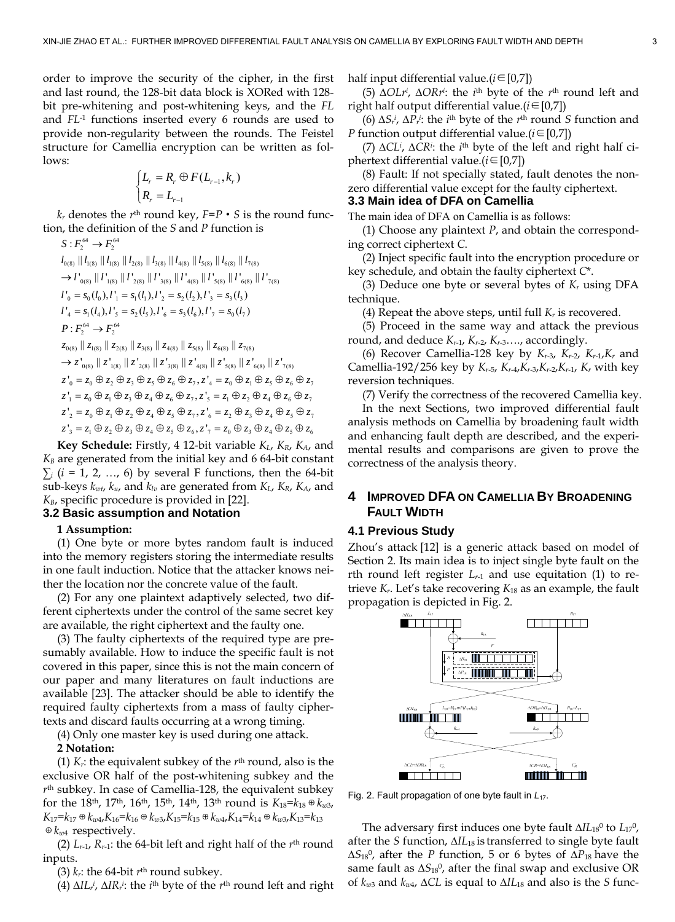order to improve the security of the cipher, in the first and last round, the 128-bit data block is XORed with 128 bit pre-whitening and post-whitening keys, and the *FL* and *FL*-1 functions inserted every 6 rounds are used to provide non-regularity between the rounds. The Feistel structure for Camellia encryption can be written as follows:

$$
\begin{cases} L_r = R_r \oplus F(L_{r-1}, k_r) \\ R_r = L_{r-1} \end{cases}
$$

 $k_r$  denotes the  $r<sup>th</sup>$  round key,  $F = P \cdot S$  is the round function, the definition of the *S* and *P* function is

$$
S: F_{2}^{64} \rightarrow F_{2}^{64}
$$
\n
$$
I_{0(8)} || I_{1(8)} || I_{2(8)} || I_{2(8)} || I_{3(8)} || I_{4(8)} || I_{5(8)} || I_{6(8)} || I_{7(8)}
$$
\n
$$
\rightarrow I'_{0(8)} || I'_{1(8)} || I'_{2(8)} || I'_{3(8)} || I'_{4(8)} || I'_{5(8)} || I'_{6(8)} || I'_{7(8)}
$$
\n
$$
I'_{0} = s_{0}(I_{0}), I'_{1} = s_{1}(I_{1}), I'_{2} = s_{2}(I_{2}), I'_{3} = s_{3}(I_{3})
$$
\n
$$
I'_{4} = s_{1}(I_{4}), I'_{5} = s_{2}(I_{5}), I'_{6} = s_{3}(I_{6}), I'_{7} = s_{0}(I_{7})
$$
\n
$$
P: F_{2}^{64} \rightarrow F_{2}^{64}
$$
\n
$$
z_{0(8)} || z_{1(8)} || z_{2(8)} || z_{3(8)} || z_{4(8)} || z_{5(8)} || z_{5(8)} || z_{6(8)} || z_{7(8)}
$$
\n
$$
\rightarrow z'_{0(8)} || z'_{1(8)} || z'_{2(8)} || z'_{3(8)} || z'_{4(8)} || z'_{5(8)} || z'_{6(8)} || z'_{7(8)}
$$
\n
$$
z'_{0} = z_{0} \oplus z_{2} \oplus z_{3} \oplus z_{5} \oplus z_{6} \oplus z_{7}, z'_{4} = z_{0} \oplus z_{1} \oplus z_{5} \oplus z_{6} \oplus z_{7}
$$
\n
$$
z'_{1} = z_{0} \oplus z_{1} \oplus z_{3} \oplus z_{4} \oplus z_{6} \oplus z_{7}, z'_{5} = z_{1} \oplus z_{2} \oplus z_{4} \oplus z_{5} \oplus z_{7}
$$
\n
$$
z'_{2} = z_{0} \oplus z_{1} \oplus z_{2} \oplus z_{4} \oplus z_{5} \oplus z_{7}, z'_{6} = z_{2} \oplus z_{3} \oplus z_{4} \oplus z_{5} \oplus z_{7}
$$
\n
$$
z'_{3}
$$

**Key Schedule:** Firstly, 4 12-bit variable *KL*, *KR*, *KA*, and  $K_B$  are generated from the initial key and 6 64-bit constant  $\sum_i$  ( $i = 1, 2, ..., 6$ ) by several F functions, then the 64-bit sub-keys *kwt*, *ku*, and *klv* are generated from *KL*, *KR*, *KA*, and  $K_B$ , specific procedure is provided in [\[22\]](#page-7-17).

#### **3.2 Basic assumption and Notation**

#### **1 Assumption:**

(1) One byte or more bytes random fault is induced into the memory registers storing the intermediate results in one fault induction. Notice that the attacker knows neither the location nor the concrete value of the fault.

(2) For any one plaintext adaptively selected, two different ciphertexts under the control of the same secret key are available, the right ciphertext and the faulty one.

(3) The faulty ciphertexts of the required type are presumably available. How to induce the specific fault is not covered in this paper, since this is not the main concern of our paper and many literatures on fault inductions are available [\[23\].](#page-7-18) The attacker should be able to identify the required faulty ciphertexts from a mass of faulty ciphertexts and discard faults occurring at a wrong timing.

(4) Only one master key is used during one attack.

#### **2 Notation:**

(1) *Kr*: the equivalent subkey of the *r*th round, also is the exclusive OR half of the post-whitening subkey and the *r*th subkey. In case of Camellia-128, the equivalent subkey for the 18<sup>th</sup>, 17<sup>th</sup>, 16<sup>th</sup>, 15<sup>th</sup>, 14<sup>th</sup>, 13<sup>th</sup> round is  $K_{18} = k_{18} ⊕ k_{w3}$ ,  $K_{17}$ = $k_{17}$  ⊕  $k_{w4}$ , $K_{16}$ = $k_{16}$  ⊕  $k_{w3}$ , $K_{15}$ = $k_{15}$  ⊕  $k_{w4}$ , $K_{14}$ = $k_{14}$  ⊕  $k_{w3}$ , $K_{13}$ = $k_{13}$ ⊕*kw*4 respectively.

(2) *Lr*-1, *Rr*-1: the 64-bit left and right half of the *r*th round inputs.

(3)  $k_r$ : the 64-bit  $r<sup>th</sup>$  round subkey.

(4) *∆ILr i* , *∆IRr i* : the *i*th byte of the *r*th round left and right

half input differential value. $(i \in [0,7])$ 

(5) *∆OLri* , *∆ORri* : the *i*th byte of the *r*th round left and right half output differential value. $(i \in [0,7])$ 

 $(6)$   $\Delta S_r^i$ ,  $\Delta P_r^i$ : the *i*<sup>th</sup> byte of the *r*<sup>th</sup> round *S* function and *P* function output differential value.(*i*∈[0,7])

(7) *∆CLi* , *∆CRi* : the *i*th byte of the left and right half ciphertext differential value. $(i \in [0,7])$ 

(8) Fault: If not specially stated, fault denotes the nonzero differential value except for the faulty ciphertext.

#### **3.3 Main idea of DFA on Camellia**

The main idea of DFA on Camellia is as follows:

(1) Choose any plaintext *P*, and obtain the corresponding correct ciphertext *C*.

(2) Inject specific fault into the encryption procedure or key schedule, and obtain the faulty ciphertext *C*\*.

(3) Deduce one byte or several bytes of *Kr* using DFA technique.

(4) Repeat the above steps, until full  $K_r$  is recovered.

(5) Proceed in the same way and attack the previous round, and deduce *Kr*-1, *Kr*-2, *Kr*-3…., accordingly.

(6) Recover Camellia-128 key by *Kr*-3, *Kr*-2, *Kr*-1,*Kr* and Camellia-192/256 key by *Kr*-5, *Kr*-4,*Kr*-3,*Kr*-2,*Kr*-1, *Kr* with key reversion techniques.

(7) Verify the correctness of the recovered Camellia key.

In the next Sections, two improved differential fault analysis methods on Camellia by broadening fault width and enhancing fault depth are described, and the experimental results and comparisons are given to prove the correctness of the analysis theory.

# **4 IMPROVED DFA ON CAMELLIA BY BROADENING FAULT WIDTH**

#### **4.1 Previous Study**

Zhou's attack [\[12\]](#page-7-11) is a generic attack based on model of Section 2. Its main idea is to inject single byte fault on the rth round left register  $L_{r-1}$  and use equitation (1) to retrieve *Kr*. Let's take recovering *K*18 as an example, the fault propagation is depicted in Fig. 2.



Fig. 2. Fault propagation of one byte fault in *L*17.

The adversary first induces one byte fault *∆IL*180 to *L*170, after the *S* function, *∆IL*18 is transferred to single byte fault *∆S*180, after the *P* function, 5 or 6 bytes of *∆P*18 have the same fault as  $ΔS<sub>18</sub><sup>0</sup>$ , after the final swap and exclusive OR of *kw*3 and *kw*4, *∆CL* is equal to *∆IL*18 and also is the *S* func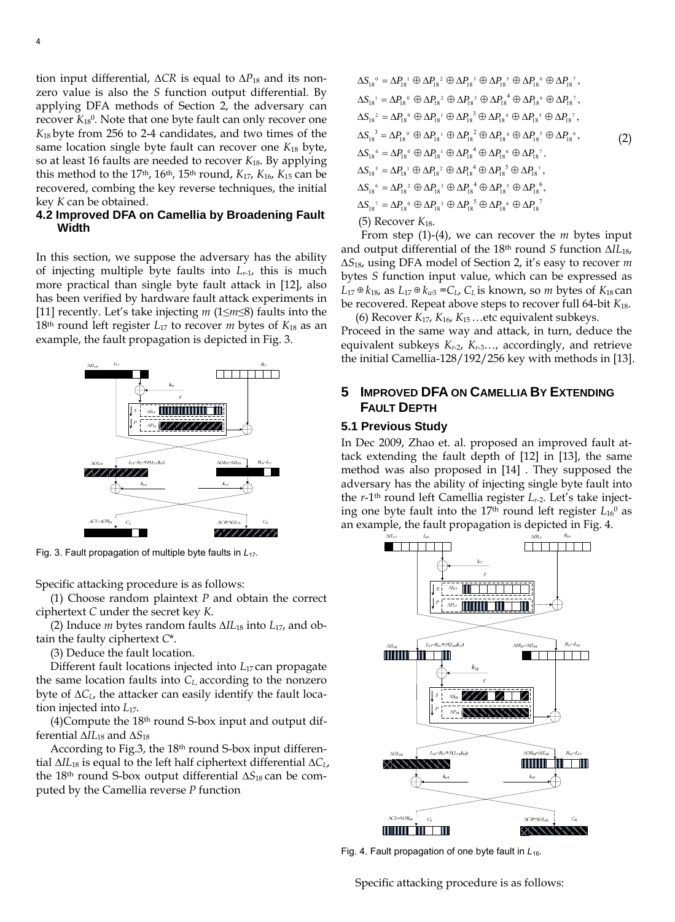tion input differential, *∆CR* is equal to *∆P*18 and its nonzero value is also the *S* function output differential. By applying DFA methods of Section 2, the adversary can recover  $K_{18}$ <sup>0</sup>. Note that one byte fault can only recover one *K*18 byte from 256 to 2-4 candidates, and two times of the same location single byte fault can recover one *K*18 byte, so at least 16 faults are needed to recover *K*18. By applying this method to the  $17<sup>th</sup>$ ,  $16<sup>th</sup>$ ,  $15<sup>th</sup>$  round,  $K_{17}$ ,  $K_{16}$ ,  $K_{15}$  can be recovered, combing the key reverse techniques, the initial key *K* can be obtained.

# **4.2 Improved DFA on Camellia by Broadening Fault Width**

In this section, we suppose the adversary has the ability of injecting multiple byte faults into *Lr*-1, this is much more practical than single byte fault attack in [\[12\]](#page-7-11), also has been verified by hardware fault attack experiments in [\[11\]](#page-7-10) recently. Let's take injecting *m* (1≤*m*≤8) faults into the 18th round left register *L*17 to recover *m* bytes of *K*18 as an example, the fault propagation is depicted in Fig. 3.



Fig. 3. Fault propagation of multiple byte faults in *L*17.

Specific attacking procedure is as follows:

(1) Choose random plaintext *P* and obtain the correct ciphertext *C* under the secret key *K*.

(2) Induce *m* bytes random faults *∆IL*18 into *L*17, and obtain the faulty ciphertext *C*\*.

(3) Deduce the fault location.

Different fault locations injected into *L*17 can propagate the same location faults into *CL*, according to the nonzero byte of ∆*CL*, the attacker can easily identify the fault location injected into *L*17.

 $(4)$ Compute the 18<sup>th</sup> round S-box input and output differential *∆IL*18 and *∆S*<sup>18</sup>

According to Fig.3, the 18th round S-box input differential *∆IL*18 is equal to the left half ciphertext differential *∆CL*, the 18th round S-box output differential *∆S*18 can be computed by the Camellia reverse *P* function

$$
\Delta S_{18}^{\circ} = \Delta P_{18}^{\circ} \oplus \Delta P_{18}^{\circ} \oplus \Delta P_{18}^{\circ} \oplus \Delta P_{18}^{\circ} \oplus \Delta P_{18}^{\circ} \oplus \Delta P_{18}^{\circ},
$$
  
\n
$$
\Delta S_{18}^{\circ} = \Delta P_{18}^{\circ} \oplus \Delta P_{18}^{\circ} \oplus \Delta P_{18}^{\circ} \oplus \Delta P_{18}^{\circ} \oplus \Delta P_{18}^{\circ} \oplus \Delta P_{18}^{\circ} \oplus \Delta P_{18}^{\circ},
$$
  
\n
$$
\Delta S_{18}^{\circ} = \Delta P_{18}^{\circ} \oplus \Delta P_{18}^{\circ} \oplus \Delta P_{18}^{\circ} \oplus \Delta P_{18}^{\circ} \oplus \Delta P_{18}^{\circ} \oplus \Delta P_{18}^{\circ} \oplus \Delta P_{18}^{\circ},
$$
  
\n
$$
\Delta S_{18}^{\circ} = \Delta P_{18}^{\circ} \oplus \Delta P_{18}^{\circ} \oplus \Delta P_{18}^{\circ} \oplus \Delta P_{18}^{\circ} \oplus \Delta P_{18}^{\circ} \oplus \Delta P_{18}^{\circ} \oplus \Delta P_{18}^{\circ},
$$
  
\n
$$
\Delta S_{18}^{\circ} = \Delta P_{18}^{\circ} \oplus \Delta P_{18}^{\circ} \oplus \Delta P_{18}^{\circ} \oplus \Delta P_{18}^{\circ} \oplus \Delta P_{18}^{\circ} \oplus \Delta P_{18}^{\circ},
$$
  
\n
$$
\Delta S_{18}^{\circ} = \Delta P_{18}^{\circ} \oplus \Delta P_{18}^{\circ} \oplus \Delta P_{18}^{\circ} \oplus \Delta P_{18}^{\circ} \oplus \Delta P_{18}^{\circ} \oplus \Delta P_{18}^{\circ},
$$
  
\n
$$
\Delta S_{18}^{\circ} = \Delta P_{18}^{\circ} \oplus \Delta P_{18}^{\circ} \oplus \Delta P_{18}^{\circ} \oplus \Delta P_{18}^{\circ} \oplus \Delta P_{18}^{\circ} \oplus \Delta P_{18}^{\circ}
$$

 From step (1)-(4), we can recover the *m* bytes input and output differential of the 18th round *S* function *∆IL*18, *∆S*18, using DFA model of Section 2, it's easy to recover *m* bytes *S* function input value, which can be expressed as  $L_{17} ⊕ k_{18}$ , as  $L_{17} ⊕ k_{w3} = C_L$ ,  $C_L$  is known, so *m* bytes of  $K_{18}$  can be recovered. Repeat above steps to recover full 64-bit *K*18.

(6) Recover *K*17, *K*16, *K*15 …etc equivalent subkeys. Proceed in the same way and attack, in turn, deduce the equivalent subkeys *Kr*-2, *Kr*-3…, accordingly, and retrieve the initial Camellia-128/192/256 key with methods in [\[13\].](#page-7-12)

# **5 IMPROVED DFA ON CAMELLIA BY EXTENDING FAULT DEPTH**

#### **5.1 Previous Study**

In Dec 2009, Zhao et. al. proposed an improved fault attack extending the fault depth of [\[12\]](#page-7-11) in [\[13\]](#page-7-12), the same method was also proposed in [\[14\]](#page-7-13) . They supposed the adversary has the ability of injecting single byte fault into the *r*-1th round left Camellia register *Lr*-2. Let's take injecting one byte fault into the  $17<sup>th</sup>$  round left register  $L_{16}$ <sup>0</sup> as an example, the fault propagation is depicted in Fig. 4.



Fig. 4. Fault propagation of one byte fault in *L*16.

Specific attacking procedure is as follows: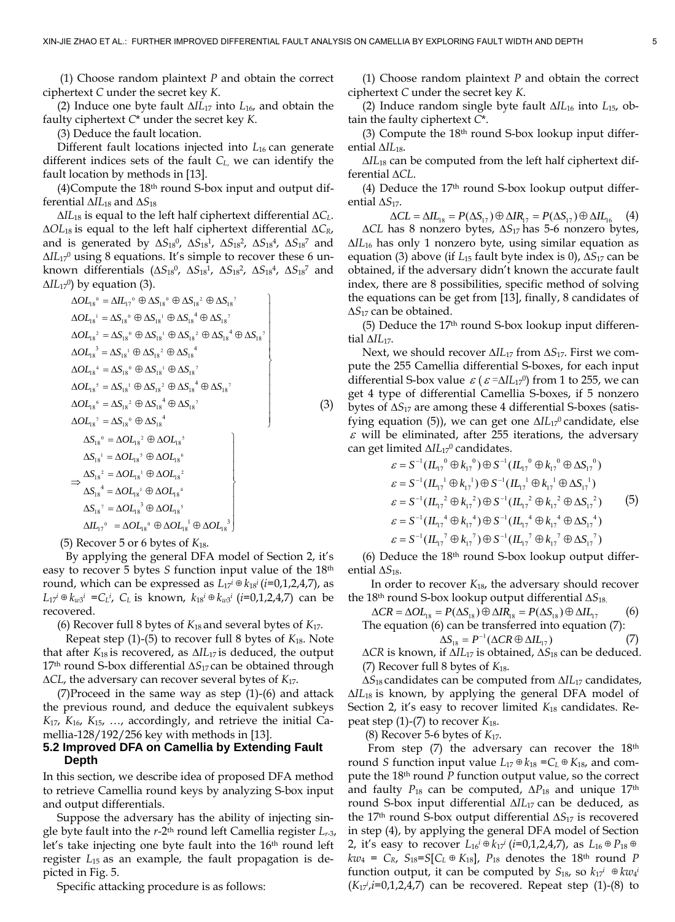(1) Choose random plaintext *P* and obtain the correct ciphertext *C* under the secret key *K*.

(2) Induce one byte fault *∆IL*17 into *L*16, and obtain the faulty ciphertext *C*\* under the secret key *K*.

(3) Deduce the fault location.

Different fault locations injected into L<sub>16</sub> can generate different indices sets of the fault *CL*, we can identify the fault location by methods in [\[13\]](#page-7-12).

(4)Compute the 18th round S-box input and output differential *∆IL*18 and *∆S*<sup>18</sup>

*∆IL*18 is equal to the left half ciphertext differential *∆CL*. ∆*OL*18 is equal to the left half ciphertext differential *∆CR*, and is generated by  $\Delta S_{18}^0$ ,  $\Delta S_{18}^1$ ,  $\Delta S_{18}^2$ ,  $\Delta S_{18}^4$ ,  $\Delta S_{18}^7$  and *∆IL*170 using 8 equations. It's simple to recover these 6 unknown differentials ( $\Delta S_{18}^{0}$ ,  $\Delta S_{18}^{1}$ ,  $\Delta S_{18}^{2}$ ,  $\Delta S_{18}^{4}$ ,  $\Delta S_{18}^{7}$  and *∆IL*<sub>17</sub><sup>0</sup>) by equation (3).

$$
\Delta O_{4s}^{0} = \Delta I_{47}^{0} \oplus \Delta S_{18}^{0} \oplus \Delta S_{18}^{2} \oplus \Delta S_{18}^{7}
$$
\n
$$
\Delta O_{4s}^{1} = \Delta S_{18}^{0} \oplus \Delta S_{18}^{1} \oplus \Delta S_{18}^{4} \oplus \Delta S_{18}^{7}
$$
\n
$$
\Delta O_{4s}^{2} = \Delta S_{18}^{0} \oplus \Delta S_{18}^{1} \oplus \Delta S_{18}^{2} \oplus \Delta S_{18}^{4} \oplus \Delta S_{18}^{7}
$$
\n
$$
\Delta O_{4s}^{3} = \Delta S_{1s}^{1} \oplus \Delta S_{1s}^{2} \oplus \Delta S_{18}^{4}
$$
\n
$$
\Delta O_{4s}^{3} = \Delta S_{1s}^{1} \oplus \Delta S_{1s}^{2} \oplus \Delta S_{1s}^{2}
$$
\n
$$
\Delta O_{4s}^{6} = \Delta S_{1s}^{1} \oplus \Delta S_{1s}^{1} \oplus \Delta S_{1s}^{7}
$$
\n
$$
\Delta O_{4s}^{6} = \Delta S_{1s}^{2} \oplus \Delta S_{1s}^{4} \oplus \Delta S_{1s}^{7}
$$
\n
$$
\Delta O_{4s}^{7} = \Delta S_{1s}^{1} \oplus \Delta S_{1s}^{4}
$$
\n
$$
\Delta S_{1s}^{1} = \Delta O_{4s}^{1} \oplus \Delta O_{4s}^{5}
$$
\n
$$
\Delta S_{1s}^{1} = \Delta O_{4s}^{1} \oplus \Delta O_{4s}^{6}
$$
\n
$$
\Delta S_{1s}^{1} = \Delta O_{4s}^{1} \oplus \Delta O_{4s}^{1}
$$
\n
$$
\Delta S_{1s}^{1} = \Delta O_{4s}^{1} \oplus \Delta O_{4s}^{1}
$$
\n
$$
\Delta S_{1s}^{1} = \Delta O_{4s}^{1} \oplus \Delta O_{4s}^{1}
$$
\n
$$
\Delta S_{1s}^{1} = \Delta O_{4s}^{1} \oplus \Delta O_{4s}^{1}
$$
\n
$$
\Delta S_{1s}^{1} = \Delta O_{4s}^{1} \oplus \Delta O_{4
$$

(5) Recover 5 or 6 bytes of *K*18.

 By applying the general DFA model of Section 2, it's easy to recover 5 bytes *S* function input value of the 18th round, which can be expressed as  $L_{17}$ <sup>*i*</sup>  $\oplus k_{18}$ <sup>*i*</sup> (*i*=0,1,2,4,7), as *L*<sub>17</sub><sup>*i*</sup> ⊕  $k_{w3}$ <sup>*i*</sup> =*C*<sub>*L*</sub><sup>*i*</sup>, *C*<sub>*L*</sub> is known,  $k_{18}$ <sup>*i*</sup> ⊕  $k_{w3}$ <sup>*i*</sup> (*i*=0,1,2,4,7) can be recovered.

(6) Recover full 8 bytes of *K*18 and several bytes of *K*17.

 Repeat step (1)-(5) to recover full 8 bytes of *K*18. Note that after *K*18 is recovered, as *∆IL*17 is deduced, the output 17th round S-box differential *∆S*17 can be obtained through ∆*CL*, the adversary can recover several bytes of *K*17.

(7)Proceed in the same way as step (1)-(6) and attack the previous round, and deduce the equivalent subkeys *K*17, *K*16, *K*15, …, accordingly, and retrieve the initial Camellia-128/192/256 key with methods in [\[13\]](#page-7-12).

## **5.2 Improved DFA on Camellia by Extending Fault Depth**

In this section, we describe idea of proposed DFA method to retrieve Camellia round keys by analyzing S-box input and output differentials.

Suppose the adversary has the ability of injecting single byte fault into the *r*-2th round left Camellia register *Lr*-3, let's take injecting one byte fault into the 16<sup>th</sup> round left register *L*<sup>15</sup> as an example, the fault propagation is depicted in Fig. 5.

Specific attacking procedure is as follows:

(1) Choose random plaintext *P* and obtain the correct ciphertext *C* under the secret key *K*.

(2) Induce random single byte fault *∆IL*16 into *L*15, obtain the faulty ciphertext *C*\*.

(3) Compute the  $18<sup>th</sup>$  round S-box lookup input differential *∆IL*18.

*∆IL*18 can be computed from the left half ciphertext differential *∆CL*.

(4) Deduce the  $17<sup>th</sup>$  round S-box lookup output differential *∆S*17.

 $\Delta CL = \Delta IL_{18} = P(\Delta S_{17}) \oplus \Delta IR_{17} = P(\Delta S_{17}) \oplus \Delta IL_{16}$  (4) *∆CL* has 8 nonzero bytes, *∆S*17 has 5-6 nonzero bytes, *∆IL*16 has only 1 nonzero byte, using similar equation as equation (3) above (if *L*15 fault byte index is 0), *∆S*17 can be obtained, if the adversary didn't known the accurate fault index, there are 8 possibilities, specific method of solving the equations can be get from [\[13\]](#page-7-12), finally, 8 candidates of *∆S*17 can be obtained.

(5) Deduce the  $17<sup>th</sup>$  round S-box lookup input differential *∆IL*17.

Next, we should recover *∆IL*17 from *∆S*17. First we compute the 255 Camellia differential S-boxes, for each input differential S-box value  $\varepsilon$  ( $\varepsilon$  = $\Delta lL_{17}$ <sup>0</sup>) from 1 to 255, we can get 4 type of differential Camellia S-boxes, if 5 nonzero bytes of *∆S*17 are among these 4 differential S-boxes (satisfying equation (5)), we can get one  $\Delta I L_{17}$ <sup>0</sup> candidate, else  $\varepsilon$  will be eliminated, after 255 iterations, the adversary can get limited *∆IL*170 candidates.

$$
\varepsilon = S^{-1} (IL_{17}^{0} \oplus k_{17}^{0}) \oplus S^{-1} (IL_{17}^{0} \oplus k_{17}^{0} \oplus \Delta S_{17}^{0})
$$
  
\n
$$
\varepsilon = S^{-1} (IL_{17}^{1} \oplus k_{17}^{1}) \oplus S^{-1} (IL_{17}^{1} \oplus k_{17}^{1} \oplus \Delta S_{17}^{1})
$$
  
\n
$$
\varepsilon = S^{-1} (IL_{17}^{2} \oplus k_{17}^{2}) \oplus S^{-1} (IL_{17}^{2} \oplus k_{17}^{2} \oplus \Delta S_{17}^{2})
$$
  
\n
$$
\varepsilon = S^{-1} (IL_{17}^{4} \oplus k_{17}^{4}) \oplus S^{-1} (IL_{17}^{4} \oplus k_{17}^{4} \oplus \Delta S_{17}^{4})
$$
  
\n
$$
\varepsilon = S^{-1} (IL_{17}^{7} \oplus k_{17}^{7}) \oplus S^{-1} (IL_{17}^{7} \oplus k_{17}^{7} \oplus \Delta S_{17}^{7})
$$

(6) Deduce the  $18<sup>th</sup>$  round S-box lookup output differential *∆S*18.

 In order to recover *K*18, the adversary should recover the 18th round S-box lookup output differential *∆S*18.

 $\Delta CR = \Delta O L_{18} = P(\Delta S_{18}) \oplus \Delta IR_{18} = P(\Delta S_{18}) \oplus \Delta IL_{17}$  (6) The equation (6) can be transferred into equation (7):

$$
\Delta S_{18} = P^{-1} (\Delta CR \oplus \Delta IL_{17}) \tag{7}
$$

*∆CR* is known, if *∆IL*17 is obtained, *∆S*18 can be deduced. (7) Recover full 8 bytes of *K*18.

*∆S*18 candidates can be computed from *∆IL*17 candidates, *∆IL*18 is known, by applying the general DFA model of Section 2, it's easy to recover limited *K*18 candidates. Repeat step (1)-(7) to recover *K*18.

(8) Recover 5-6 bytes of *K*17.

From step  $(7)$  the adversary can recover the  $18<sup>th</sup>$ round *S* function input value  $L_{17} \oplus k_{18} = C_L \oplus K_{18}$ , and compute the 18th round *P* function output value, so the correct and faulty  $P_{18}$  can be computed,  $\Delta P_{18}$  and unique 17<sup>th</sup> round S-box input differential *∆IL*17 can be deduced, as the 17<sup>th</sup> round S-box output differential  $\Delta S_{17}$  is recovered in step (4), by applying the general DFA model of Section 2, it's easy to recover  $L_{16}$ <sup>*i*</sup> ⊕  $k_{17}$ <sup>*i*</sup> (*i*=0,1,2,4,7), as  $L_{16}$  ⊕  $P_{18}$  ⊕  $kw_4 = C_R$ ,  $S_{18} = S[C_L \oplus K_{18}]$ ,  $P_{18}$  denotes the 18<sup>th</sup> round *P* function output, it can be computed by  $S_{18}$ , so  $k_{17}$ <sup>*i*</sup> ⊕  $kw_4$ <sup>*i*</sup>  $(K_{17}^{i}, i=0,1,2,4,7)$  can be recovered. Repeat step  $(1)-(8)$  to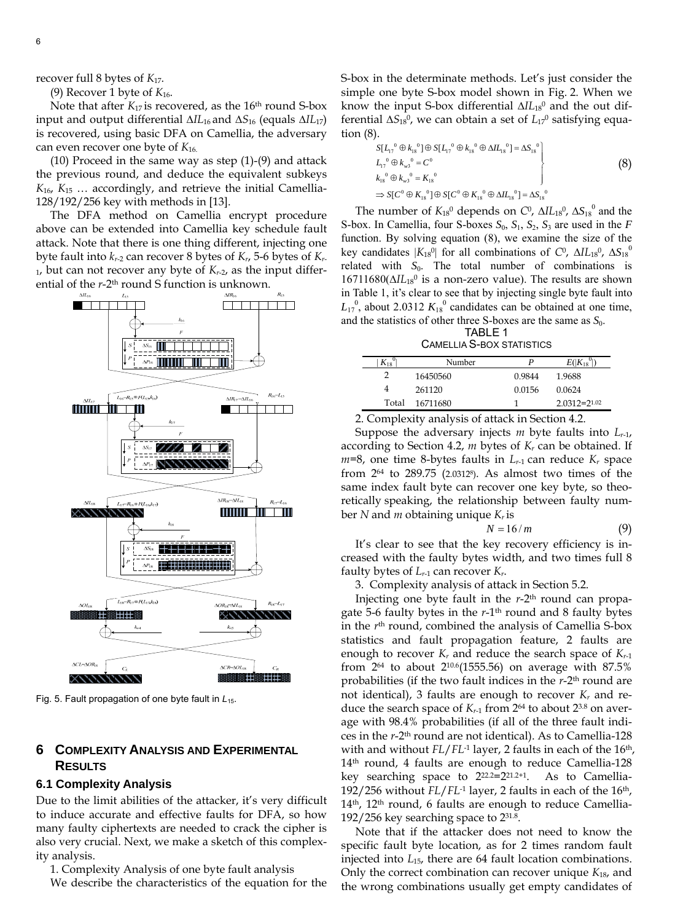recover full 8 bytes of *K*17.

(9) Recover 1 byte of  $K_{16}$ .

Note that after  $K_{17}$  is recovered, as the 16<sup>th</sup> round S-box input and output differential *∆IL*16 and *∆S*16 (equals *∆IL*17) is recovered, using basic DFA on Camellia, the adversary can even recover one byte of *K*16.

(10) Proceed in the same way as step (1)-(9) and attack the previous round, and deduce the equivalent subkeys *K*16, *K*15 … accordingly, and retrieve the initial Camellia-128/192/256 key with methods in [\[13\]](#page-7-12).

The DFA method on Camellia encrypt procedure above can be extended into Camellia key schedule fault attack. Note that there is one thing different, injecting one byte fault into *kr*-2 can recover 8 bytes of *Kr*, 5-6 bytes of *Kr*- $<sub>1</sub>$ , but can not recover any byte of  $K<sub>r-2</sub>$ , as the input differ-</sub> ential of the *r*-2<sup>th</sup> round S function is unknown.



Fig. 5. Fault propagation of one byte fault in *L*15.

# **6 COMPLEXITY ANALYSIS AND EXPERIMENTAL RESULTS**

### **6.1 Complexity Analysis**

Due to the limit abilities of the attacker, it's very difficult to induce accurate and effective faults for DFA, so how many faulty ciphertexts are needed to crack the cipher is also very crucial. Next, we make a sketch of this complexity analysis.

1. Complexity Analysis of one byte fault analysis

We describe the characteristics of the equation for the

S-box in the determinate methods. Let's just consider the simple one byte S-box model shown in Fig. 2. When we know the input S-box differential  $\Delta I L_{18}$ <sup>0</sup> and the out differential ∆S<sub>18</sub><sup>0</sup>, we can obtain a set of L<sub>17</sub><sup>0</sup> satisfying equation (8).

$$
S[L_{1}^{0} \oplus k_{1s}^{0}] \oplus S[L_{1}^{0} \oplus k_{1s}^{0} \oplus \Delta I L_{1s}^{0}] = \Delta S_{1s}^{0}
$$
  
\n
$$
L_{1}^{0} \oplus k_{\omega_{3}}^{0} = C^{0}
$$
  
\n
$$
k_{1s}^{0} \oplus k_{\omega_{3}}^{0} = K_{1s}^{0}
$$
  
\n
$$
\Rightarrow S[C^{0} \oplus K_{1s}^{0}] \oplus S[C^{0} \oplus K_{1s}^{0} \oplus \Delta I L_{1s}^{0}] = \Delta S_{1s}^{0}
$$
  
\n(8)

The number of  $K_{18}$ <sup>0</sup> depends on  $C^0$ ,  $\Delta I L_{18}$ <sup>0</sup>,  $\Delta S_{18}$ <sup>0</sup> and the S-box. In Camellia, four S-boxes  $S_0$ ,  $S_1$ ,  $S_2$ ,  $S_3$  are used in the *F* function. By solving equation (8), we examine the size of the key candidates  $|K_{18}$ <sup>0</sup>| for all combinations of *C*<sup>0</sup>,  $\Delta I L_{18}$ <sup>0</sup>,  $\Delta S_{18}$ <sup>0</sup> related with  $S_0$ . The total number of combinations is 16711680(∆*IL*180 is a non-zero value). The results are shown in Table 1, it's clear to see that by injecting single byte fault into  $L_{17}^{0}$ , about 2.0312  $K_{18}^{0}$  candidates can be obtained at one time, and the statistics of other three S-boxes are the same as  $S_0$ .

TABLE 1 CAMELLIA S-BOX STATISTICS

| $K_{18}$ | Number   | P      | $E( K_{18} )$       |
|----------|----------|--------|---------------------|
|          | 16450560 | 0.9844 | 1.9688              |
| 4        | 261120   | 0.0156 | 0.0624              |
| Total    | 16711680 |        | $2.0312 = 2^{1.02}$ |

2. Complexity analysis of attack in Section 4.2.

Suppose the adversary injects *m* byte faults into *Lr*-1, according to Section 4.2, *m* bytes of *Kr* can be obtained. If  $m=8$ , one time 8-bytes faults in  $L_{r-1}$  can reduce  $K_r$  space from 264 to 289.75 (2.03128). As almost two times of the same index fault byte can recover one key byte, so theoretically speaking, the relationship between faulty number *N* and *m* obtaining unique *Kr* is

$$
N = 16/m \tag{9}
$$

It's clear to see that the key recovery efficiency is increased with the faulty bytes width, and two times full 8 faulty bytes of  $L_{r-1}$  can recover  $K_r$ .

3. Complexity analysis of attack in Section 5.2.

Injecting one byte fault in the *r*-2th round can propagate 5-6 faulty bytes in the *r*-1th round and 8 faulty bytes in the *r*th round, combined the analysis of Camellia S-box statistics and fault propagation feature, 2 faults are enough to recover  $K_r$  and reduce the search space of  $K_{r-1}$ from  $2^{64}$  to about  $2^{10.6}$ (1555.56) on average with 87.5% probabilities (if the two fault indices in the *r*-2th round are not identical), 3 faults are enough to recover *Kr* and reduce the search space of  $K_{r-1}$  from  $2^{64}$  to about  $2^{3.8}$  on average with 98.4% probabilities (if all of the three fault indices in the *r*-2th round are not identical). As to Camellia-128 with and without *FL*/*FL*<sup>-1</sup> layer, 2 faults in each of the 16<sup>th</sup>, 14<sup>th</sup> round, 4 faults are enough to reduce Camellia-128 key searching space to  $2^{22.2}=2^{21.2+1}$ . As to Camellia-192/256 without *FL*/*FL*-1 layer, 2 faults in each of the 16th, 14<sup>th</sup>, 12<sup>th</sup> round, 6 faults are enough to reduce Camellia-192/256 key searching space to 231.8.

Note that if the attacker does not need to know the specific fault byte location, as for 2 times random fault injected into *L*15, there are 64 fault location combinations. Only the correct combination can recover unique *K*18, and the wrong combinations usually get empty candidates of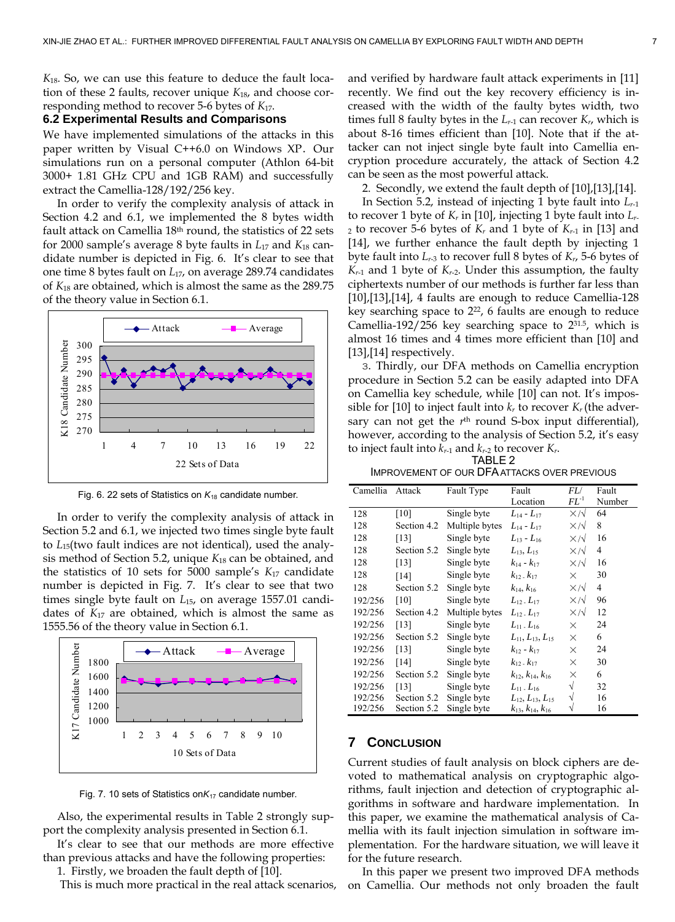*K*18. So, we can use this feature to deduce the fault location of these 2 faults, recover unique *K*18, and choose corresponding method to recover 5-6 bytes of *K*17.

# **6.2 Experimental Results and Comparisons**

We have implemented simulations of the attacks in this paper written by Visual C++6.0 on Windows XP. Our simulations run on a personal computer (Athlon 64-bit 3000+ 1.81 GHz CPU and 1GB RAM) and successfully extract the Camellia-128/192/256 key.

In order to verify the complexity analysis of attack in Section 4.2 and 6.1, we implemented the 8 bytes width fault attack on Camellia 18th round, the statistics of 22 sets for 2000 sample's average 8 byte faults in *L*17 and *K*18 candidate number is depicted in Fig. 6. It's clear to see that one time 8 bytes fault on *L*17, on average 289.74 candidates of *K*18 are obtained, which is almost the same as the 289.75 of the theory value in Section 6.1.



Fig. 6. 22 sets of Statistics on *K*18 candidate number.

In order to verify the complexity analysis of attack in Section 5.2 and 6.1, we injected two times single byte fault to *L*15(two fault indices are not identical), used the analysis method of Section 5.2, unique *K*18 can be obtained, and the statistics of 10 sets for 5000 sample's *K*17 candidate number is depicted in Fig. 7. It's clear to see that two times single byte fault on *L*15, on average 1557.01 candidates of *K*17 are obtained, which is almost the same as 1555.56 of the theory value in Section 6.1.



Fig. 7. 10 sets of Statistics on*K*17 candidate number.

Also, the experimental results in Table 2 strongly support the complexity analysis presented in Section 6.1.

It's clear to see that our methods are more effective than previous attacks and have the following properties:

1. Firstly, we broaden the fault depth of [\[10\].](#page-7-19) This is much more practical in the real attack scenarios, and verified by hardware fault attack experiments in [\[11\]](#page-7-10) recently. We find out the key recovery efficiency is increased with the width of the faulty bytes width, two times full 8 faulty bytes in the  $L_{r-1}$  can recover  $K_r$ , which is about 8-16 times efficient than [\[10\]](#page-7-19). Note that if the attacker can not inject single byte fault into Camellia encryption procedure accurately, the attack of Section 4.2 can be seen as the most powerful attack.

2. Secondly, we extend the fault depth of [\[10\]](#page-7-19)[,\[13\]](#page-7-12),[\[14\]](#page-7-13).

In Section 5.2, instead of injecting 1 byte fault into *Lr*-1 to recover 1 byte of *Kr* in [\[10\]](#page-7-19), injecting 1 byte fault into *Lr*- $_2$  to recover 5-6 bytes of  $K_r$  and 1 byte of  $K_{r-1}$  in [\[13\]](#page-7-12) and [\[14\]](#page-7-13), we further enhance the fault depth by injecting 1 byte fault into *Lr*-3 to recover full 8 bytes of *Kr*, 5-6 bytes of  $K_{r-1}$  and 1 byte of  $K_{r-2}$ . Under this assumption, the faulty ciphertexts number of our methods is further far less than [\[10\]](#page-7-19),[\[13\]](#page-7-12),[\[14\],](#page-7-13) 4 faults are enough to reduce Camellia-128 key searching space to  $2^{22}$ , 6 faults are enough to reduce Camellia-192/256 key searching space to  $2^{31.5}$ , which is almost 16 times and 4 times more efficient than [\[10\]](#page-7-19) and [\[13\]](#page-7-12), [\[14\]](#page-7-13) respectively.

3. Thirdly, our DFA methods on Camellia encryption procedure in Section 5.2 can be easily adapted into DFA on Camellia key schedule, while [\[10\]](#page-7-19) can not. It's impos-sible for [\[10\]](#page-7-19) to inject fault into  $k_r$  to recover  $K_r$  (the adversary can not get the  $r<sup>th</sup>$  round S-box input differential), however, according to the analysis of Section 5.2, it's easy to inject fault into  $k_{r-1}$  and  $k_{r-2}$  to recover  $K_r$ . TABLE 2

IMPROVEMENT OF OUR DFA ATTACKS OVER PREVIOUS

| Camellia | Attack      | Fault Type     | Fault                          | FL/              | Fault  |  |
|----------|-------------|----------------|--------------------------------|------------------|--------|--|
|          |             |                | Location                       | $FL^{-1}$        | Number |  |
| 128      | [10]        | Single byte    | $L_{14} - L_{17}$              | $X/\sqrt{2}$     | 64     |  |
| 128      | Section 4.2 | Multiple bytes | $L_{14} - L_{17}$              | $X/\sqrt{2}$     | 8      |  |
| 128      | $[13]$      | Single byte    | $L_{13} - L_{16}$              | $X/\sqrt{2}$     | 16     |  |
| 128      | Section 5.2 | Single byte    | $L_{13}, L_{15}$               | $X/\sqrt{2}$     | 4      |  |
| 128      | $[13]$      | Single byte    | $k_{14} - k_{17}$              | $X/\sqrt{2}$     | 16     |  |
| 128      | $[14]$      | Single byte    | $k_{12}$ - $k_{17}$            | $\times$         | 30     |  |
| 128      | Section 5.2 | Single byte    | $k_{14}, k_{16}$               | $\times/\sqrt{}$ | 4      |  |
| 192/256  | [10]        | Single byte    | $L_{12}$ . $L_{17}$            | $X/\sqrt{2}$     | 96     |  |
| 192/256  | Section 4.2 | Multiple bytes | $L_{12}$ . $L_{17}$            | $X/\sqrt{2}$     | 12     |  |
| 192/256  | [13]        | Single byte    | $L_{11}$ . $L_{16}$            | X                | 24     |  |
| 192/256  | Section 5.2 | Single byte    | $L_{11}, L_{13}, L_{15}$       | X                | 6      |  |
| 192/256  | $[13]$      | Single byte    | $k_{12} - k_{17}$              | $\times$         | 24     |  |
| 192/256  | [14]        | Single byte    | $k_{12}$ , $k_{17}$            | X                | 30     |  |
| 192/256  | Section 5.2 | Single byte    | $k_{12}$ , $k_{14}$ , $k_{16}$ | $\times$         | 6      |  |
| 192/256  | [13]        | Single byte    | $L_{11}$ . $L_{16}$            | $\sqrt{}$        | 32     |  |
| 192/256  | Section 5.2 | Single byte    | $L_{12}, L_{13}, L_{15}$       | √                | 16     |  |
| 192/256  | Section 5.2 | Single byte    | $k_{13}, k_{14}, k_{16}$       |                  | 16     |  |

# **7 CONCLUSION**

Current studies of fault analysis on block ciphers are devoted to mathematical analysis on cryptographic algorithms, fault injection and detection of cryptographic algorithms in software and hardware implementation. In this paper, we examine the mathematical analysis of Camellia with its fault injection simulation in software implementation. For the hardware situation, we will leave it for the future research.

In this paper we present two improved DFA methods on Camellia. Our methods not only broaden the fault